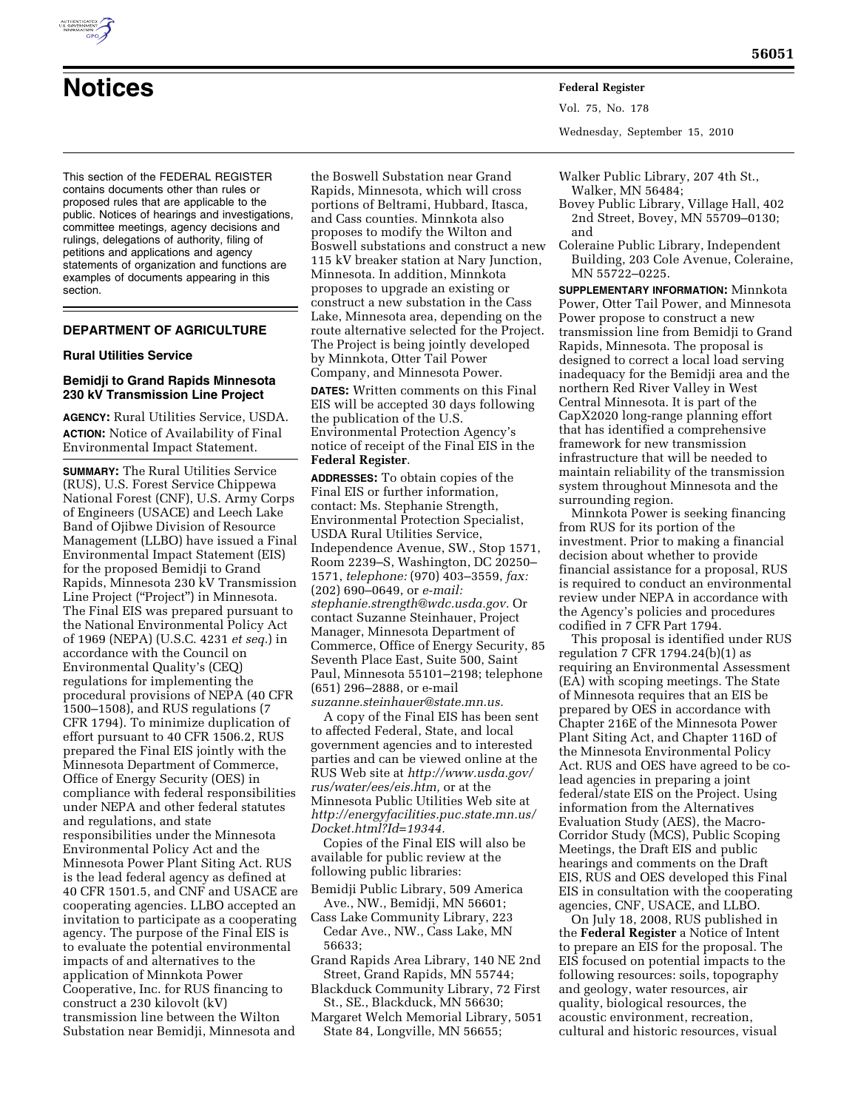

# **Notices Federal Register**

This section of the FEDERAL REGISTER contains documents other than rules or proposed rules that are applicable to the public. Notices of hearings and investigations, committee meetings, agency decisions and rulings, delegations of authority, filing of petitions and applications and agency statements of organization and functions are examples of documents appearing in this section.

# **DEPARTMENT OF AGRICULTURE**

# **Rural Utilities Service**

#### **Bemidji to Grand Rapids Minnesota 230 kV Transmission Line Project**

**AGENCY:** Rural Utilities Service, USDA. **ACTION:** Notice of Availability of Final Environmental Impact Statement.

**SUMMARY:** The Rural Utilities Service (RUS), U.S. Forest Service Chippewa National Forest (CNF), U.S. Army Corps of Engineers (USACE) and Leech Lake Band of Ojibwe Division of Resource Management (LLBO) have issued a Final Environmental Impact Statement (EIS) for the proposed Bemidji to Grand Rapids, Minnesota 230 kV Transmission Line Project (''Project'') in Minnesota. The Final EIS was prepared pursuant to the National Environmental Policy Act of 1969 (NEPA) (U.S.C. 4231 *et seq.*) in accordance with the Council on Environmental Quality's (CEQ) regulations for implementing the procedural provisions of NEPA (40 CFR 1500–1508), and RUS regulations (7 CFR 1794). To minimize duplication of effort pursuant to 40 CFR 1506.2, RUS prepared the Final EIS jointly with the Minnesota Department of Commerce, Office of Energy Security (OES) in compliance with federal responsibilities under NEPA and other federal statutes and regulations, and state responsibilities under the Minnesota Environmental Policy Act and the Minnesota Power Plant Siting Act. RUS is the lead federal agency as defined at 40 CFR 1501.5, and CNF and USACE are cooperating agencies. LLBO accepted an invitation to participate as a cooperating agency. The purpose of the Final EIS is to evaluate the potential environmental impacts of and alternatives to the application of Minnkota Power Cooperative, Inc. for RUS financing to construct a 230 kilovolt (kV) transmission line between the Wilton Substation near Bemidji, Minnesota and

the Boswell Substation near Grand Rapids, Minnesota, which will cross portions of Beltrami, Hubbard, Itasca, and Cass counties. Minnkota also proposes to modify the Wilton and Boswell substations and construct a new 115 kV breaker station at Nary Junction, Minnesota. In addition, Minnkota proposes to upgrade an existing or construct a new substation in the Cass Lake, Minnesota area, depending on the route alternative selected for the Project. The Project is being jointly developed by Minnkota, Otter Tail Power Company, and Minnesota Power.

**DATES:** Written comments on this Final EIS will be accepted 30 days following the publication of the U.S. Environmental Protection Agency's notice of receipt of the Final EIS in the **Federal Register**.

**ADDRESSES:** To obtain copies of the Final EIS or further information, contact: Ms. Stephanie Strength, Environmental Protection Specialist, USDA Rural Utilities Service, Independence Avenue, SW., Stop 1571, Room 2239–S, Washington, DC 20250– 1571, *telephone:* (970) 403–3559, *fax:*  (202) 690–0649, or *e-mail: [stephanie.strength@wdc.usda.gov.](mailto:stephanie.strength@wdc.usda.gov)* Or contact Suzanne Steinhauer, Project Manager, Minnesota Department of Commerce, Office of Energy Security, 85 Seventh Place East, Suite 500, Saint Paul, Minnesota 55101–2198; telephone (651) 296–2888, or e-mail *[suzanne.steinhauer@state.mn.us.](mailto:suzanne.steinhauer@state.mn.us)* 

A copy of the Final EIS has been sent to affected Federal, State, and local government agencies and to interested parties and can be viewed online at the RUS Web site at *[http://www.usda.gov/](http://www.usda.gov/rus/water/ees/eis.htm)  [rus/water/ees/eis.htm,](http://www.usda.gov/rus/water/ees/eis.htm)* or at the Minnesota Public Utilities Web site at *[http://energyfacilities.puc.state.mn.us/](http://energyfacilities.puc.state.mn.us/Docket.html?Id=19344) [Docket.html?Id=19344.](http://energyfacilities.puc.state.mn.us/Docket.html?Id=19344)* 

Copies of the Final EIS will also be available for public review at the following public libraries:

Bemidji Public Library, 509 America Ave., NW., Bemidji, MN 56601;

Cass Lake Community Library, 223 Cedar Ave., NW., Cass Lake, MN 56633;

Grand Rapids Area Library, 140 NE 2nd Street, Grand Rapids, MN 55744;

Blackduck Community Library, 72 First St., SE., Blackduck, MN 56630;

Margaret Welch Memorial Library, 5051 State 84, Longville, MN 56655;

Vol. 75, No. 178 Wednesday, September 15, 2010

Walker Public Library, 207 4th St., Walker, MN 56484;

- Bovey Public Library, Village Hall, 402 2nd Street, Bovey, MN 55709–0130; and
- Coleraine Public Library, Independent Building, 203 Cole Avenue, Coleraine, MN 55722–0225.

**SUPPLEMENTARY INFORMATION:** Minnkota Power, Otter Tail Power, and Minnesota Power propose to construct a new transmission line from Bemidji to Grand Rapids, Minnesota. The proposal is designed to correct a local load serving inadequacy for the Bemidji area and the northern Red River Valley in West Central Minnesota. It is part of the CapX2020 long-range planning effort that has identified a comprehensive framework for new transmission infrastructure that will be needed to maintain reliability of the transmission system throughout Minnesota and the surrounding region.

Minnkota Power is seeking financing from RUS for its portion of the investment. Prior to making a financial decision about whether to provide financial assistance for a proposal, RUS is required to conduct an environmental review under NEPA in accordance with the Agency's policies and procedures codified in 7 CFR Part 1794.

This proposal is identified under RUS regulation 7 CFR 1794.24(b)(1) as requiring an Environmental Assessment (EA) with scoping meetings. The State of Minnesota requires that an EIS be prepared by OES in accordance with Chapter 216E of the Minnesota Power Plant Siting Act, and Chapter 116D of the Minnesota Environmental Policy Act. RUS and OES have agreed to be colead agencies in preparing a joint federal/state EIS on the Project. Using information from the Alternatives Evaluation Study (AES), the Macro-Corridor Study (MCS), Public Scoping Meetings, the Draft EIS and public hearings and comments on the Draft EIS, RUS and OES developed this Final EIS in consultation with the cooperating agencies, CNF, USACE, and LLBO.

On July 18, 2008, RUS published in the **Federal Register** a Notice of Intent to prepare an EIS for the proposal. The EIS focused on potential impacts to the following resources: soils, topography and geology, water resources, air quality, biological resources, the acoustic environment, recreation, cultural and historic resources, visual